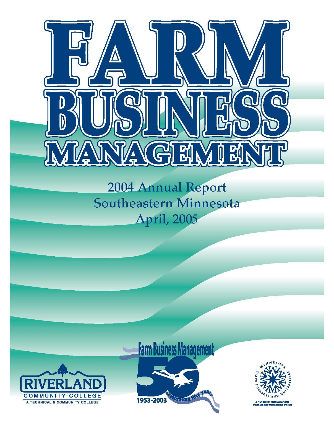

2004 Annual Report Southeastern Minnesota **April, 2005** 



## **Farm Business Management** 1953-2003

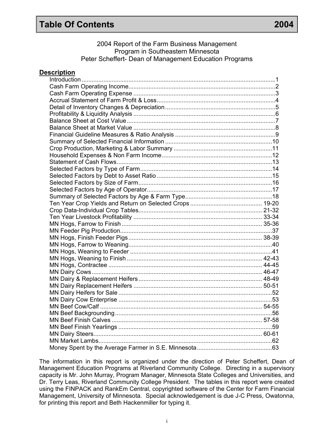## **Table Of Contents 2004**

The information in this report is organized under the direction of Peter Scheffert, Dean of Management Education Programs at Riverland Community College. Directing in a supervisory capacity is Mr. John Murray, Program Manager, Minnesota State Colleges and Universities, and Dr. Terry Leas, Riverland Community College President. The tables in this report were created using the FINPACK and RankEm Central, copyrighted software of the Center for Farm Financial Management, University of Minnesota. Special acknowledgement is due J-C Press, Owatonna, for printing this report and Beth Hackenmiller for typing it.

i

| <b>Description</b> |  |
|--------------------|--|
|                    |  |
|                    |  |
|                    |  |
|                    |  |
|                    |  |
|                    |  |
|                    |  |
|                    |  |
|                    |  |
|                    |  |
|                    |  |
|                    |  |
|                    |  |
|                    |  |
|                    |  |
|                    |  |
|                    |  |
|                    |  |
|                    |  |
|                    |  |
|                    |  |
|                    |  |
|                    |  |
|                    |  |
|                    |  |
|                    |  |
|                    |  |
|                    |  |
|                    |  |
|                    |  |
|                    |  |
|                    |  |
|                    |  |
|                    |  |
|                    |  |
|                    |  |
|                    |  |
|                    |  |
|                    |  |
|                    |  |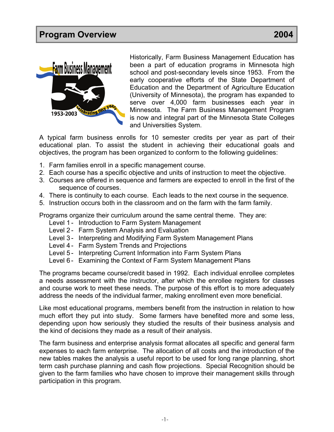

Historically, Farm Business Management Education has been a part of education programs in Minnesota high school and post-secondary levels since 1953. From the early cooperative efforts of the State Department of Education and the Department of Agriculture Education (University of Minnesota), the program has expanded to serve over 4,000 farm businesses each year in Minnesota. The Farm Business Management Program is now and integral part of the Minnesota State Colleges and Universities System.

A typical farm business enrolls for 10 semester credits per year as part of their educational plan. To assist the student in achieving their educational goals and objectives, the program has been organized to conform to the following guidelines:

- 1. Farm families enroll in a specific management course.
- 2. Each course has a specific objective and units of instruction to meet the objective.
- 3. Courses are offered in sequence and farmers are expected to enroll in the first of the sequence of courses.
- 4. There is continuity to each course. Each leads to the next course in the sequence.
- 5. Instruction occurs both in the classroom and on the farm with the farm family.

Programs organize their curriculum around the same central theme. They are:

- Level 1 Introduction to Farm System Management
- Level 2- Farm System Analysis and Evaluation
- Level 3- Interpreting and Modifying Farm System Management Plans
- Level 4 Farm System Trends and Projections
- Level 5- Interpreting Current Information into Farm System Plans
- Level 6 Examining the Context of Farm System Management Plans

The programs became course/credit based in 1992. Each individual enrollee completes a needs assessment with the instructor, after which the enrollee registers for classes and course work to meet these needs. The purpose of this effort is to more adequately address the needs of the individual farmer, making enrollment even more beneficial.

Like most educational programs, members benefit from the instruction in relation to how much effort they put into study. Some farmers have benefited more and some less, depending upon how seriously they studied the results of their business analysis and the kind of decisions they made as a result of their analysis.

The farm business and enterprise analysis format allocates all specific and general farm expenses to each farm enterprise. The allocation of all costs and the introduction of the new tables makes the analysis a useful report to be used for long range planning, short term cash purchase planning and cash flow projections. Special Recognition should be given to the farm families who have chosen to improve their management skills through participation in this program.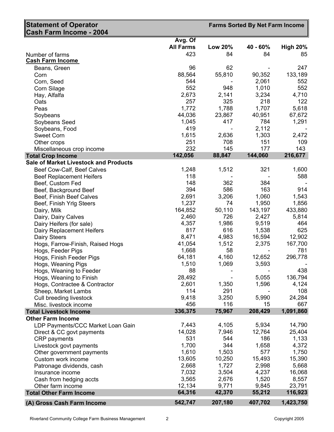| Statement of Operator<br>Cash Farm Income - 2004 |                             |                | <b>Farms Sorted By Net Farm Income</b> |                 |
|--------------------------------------------------|-----------------------------|----------------|----------------------------------------|-----------------|
|                                                  |                             |                |                                        |                 |
|                                                  | Avg. Of<br><b>All Farms</b> | <b>Low 20%</b> | 40 - 60%                               | <b>High 20%</b> |
|                                                  |                             |                |                                        |                 |
| Number of farms<br><b>Cash Farm Income</b>       | 423                         | 84             | 84                                     | 85              |
|                                                  |                             |                |                                        |                 |
| Beans, Green                                     | 96                          | 62             |                                        | 247             |
| Corn                                             | 88,564                      | 55,810         | 90,352                                 | 133,189         |
| Corn, Seed                                       | 544                         |                | 2,061                                  | 552             |
| Corn Silage                                      | 552                         | 948            | 1,010                                  | 552             |
| Hay, Alfalfa                                     | 2,673                       | 2,141          | 3,234                                  | 4,710           |
| Oats                                             | 257                         | 325            | 218                                    | 122             |
| Peas                                             | 1,772                       | 1,788          | 1,707                                  | 5,618           |
| Soybeans                                         | 44,036                      | 23,867         | 40,951                                 | 67,672          |
| Soybeans Seed                                    | 1,045                       | 417            | 784                                    | 1,291           |
| Soybeans, Food                                   | 419                         |                | 2,112                                  |                 |
| <b>Sweet Corn</b>                                | 1,615                       | 2,636          | 1,303                                  | 2,472           |
| Other crops                                      | 251                         | 708            | 151                                    | 109             |
| Miscellaneous crop income                        | 232                         | 145            | 177                                    | 143             |
| <b>Total Crop Income</b>                         | 142,056                     | 88,847         | 144,060                                | 216,677         |
| <b>Sale of Market Livestock and Products</b>     |                             |                |                                        |                 |
| Beef Cow-Calf, Beef Calves                       | 1,248                       | 1,512          | 321                                    | 1,600           |
| <b>Beef Replacement Heifers</b>                  | 118                         |                |                                        | 588             |
| Beef, Custom Fed                                 | 148                         | 362            | 384                                    |                 |
| Beef, Background Beef                            | 394                         | 586            | 163                                    | 914             |
| Beef, Finish Beef Calves                         | 2,691                       | 3,206          | 1,060                                  | 1,543           |
| Beef, Finish Yrlg Steers                         | 1,237                       | 74             | 1,950                                  | 1,856           |
| Dairy, Milk                                      | 164,852                     | 50,110         | 143,197                                | 433,880         |
| Dairy, Dairy Calves                              | 2,460                       | 726            | 2,427                                  | 5,814           |
| Dairy Heifers (for sale)                         | 4,357                       | 1,986          | 9,519                                  | 464             |
| Dairy Replacement Heifers                        | 817                         | 616            | 1,538                                  | 625             |
| Dairy Steers                                     | 8,471                       | 4,983          | 16,594                                 | 12,902          |
| Hogs, Farrow-Finish, Raised Hogs                 | 41,054                      | 1,512          | 2,375                                  | 167,700         |
| Hogs, Feeder Pigs                                | 1,668                       | 58             |                                        | 781             |
| Hogs, Finish Feeder Pigs                         | 64,181                      | 4,160          | 12,652                                 | 296,778         |
| Hogs, Weaning Pigs                               | 1,510                       | 1,069          | 3,593                                  |                 |
| Hogs, Weaning to Feeder                          | 88                          |                |                                        | 438             |
| Hogs, Weaning to Finish                          | 28,492                      |                | 5,055                                  | 136,794         |
| Hogs, Contractee & Contractor                    | 2,601                       | 1,350          | 1,596                                  | 4,124           |
| Sheep, Market Lambs                              | 114                         | 291            |                                        | 108             |
| Cull breeding livestock                          | 9,418                       | 3,250          | 5,990                                  | 24,284          |
| Misc. livestock income                           | 456                         | 116            | 15                                     | 667             |
| <b>Total Livestock Income</b>                    | 336,375                     | 75,967         | 208,429                                | 1,091,860       |
| <b>Other Farm Income</b>                         |                             |                |                                        |                 |
| LDP Payments/CCC Market Loan Gain                | 7,443                       | 4,105          | 5,934                                  | 14,790          |
| Direct & CC govt payments                        | 14,028                      | 7,946          | 12,764                                 | 25,404          |
| CRP payments                                     | 531                         | 544            | 186                                    | 1,133           |
| Livestock govt payments                          | 1,700                       | 344            | 1,658                                  | 4,372           |
| Other government payments                        | 1,610                       | 1,503          | 577                                    | 1,750           |
| Custom work income                               | 13,605                      | 10,250         | 15,493                                 | 15,390          |
| Patronage dividends, cash                        | 2,668                       | 1,727          | 2,998                                  | 5,668           |
| Insurance income                                 | 7,032                       | 3,504          | 4,237                                  | 16,068          |
| Cash from hedging accts                          | 3,565                       | 2,676          | 1,520                                  | 8,557           |
| Other farm income                                | 12,134                      | 9,771          | 9,845                                  | 23,791          |
| <b>Total Other Farm Income</b>                   | 64,316                      | 42,370         | 55,212                                 | 116,923         |
|                                                  |                             |                |                                        |                 |
| (A) Gross Cash Farm Income                       | 542,747                     | 207,180        | 407,702                                | 1,423,750       |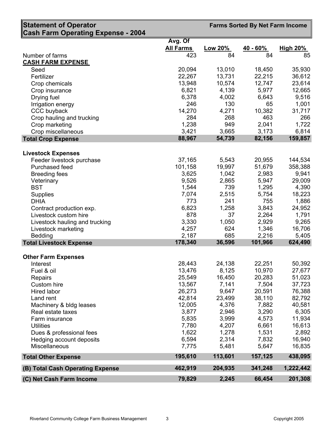| <b>Statement of Operator</b>                 | <b>Farms Sorted By Net Farm Income</b> |                 |                  |                  |
|----------------------------------------------|----------------------------------------|-----------------|------------------|------------------|
| <b>Cash Farm Operating Expense - 2004</b>    |                                        |                 |                  |                  |
|                                              | Avg. Of                                |                 |                  |                  |
|                                              | <b>All Farms</b>                       | Low 20%         | $40 - 60%$       | <b>High 20%</b>  |
| Number of farms<br><b>CASH FARM EXPENSE</b>  | 423                                    | 84              | 84               | 85               |
| Seed                                         | 20,094                                 | 13,010          | 18,450           | 35,930           |
| Fertilizer                                   | 22,267                                 | 13,731          | 22,215           | 36,612           |
| Crop chemicals                               | 13,948                                 | 10,574          | 12,747           | 23,614           |
| Crop insurance                               | 6,821                                  | 4,139           | 5,977            | 12,665           |
| Drying fuel                                  | 6,378                                  | 4,002           | 6,643            | 9,516            |
| Irrigation energy                            | 246                                    | 130             | 65               | 1,001            |
| CCC buyback                                  | 14,270                                 | 4,271           | 10,382           | 31,717           |
| Crop hauling and trucking                    | 284                                    | 268             | 463              | 266              |
| Crop marketing                               | 1,238                                  | 949             | 2,041            | 1,722            |
| Crop miscellaneous                           | 3,421                                  | 3,665           | 3,173            | 6,814            |
| <b>Total Crop Expense</b>                    | 88,967                                 | 54,739          | 82,156           | 159,857          |
| <b>Livestock Expenses</b>                    |                                        |                 |                  |                  |
| Feeder livestock purchase                    | 37,165                                 | 5,543           | 20,955           | 144,534          |
| Purchased feed                               | 101,158                                | 19,997          | 51,679           | 358,388          |
| <b>Breeding fees</b>                         | 3,625                                  | 1,042           | 2,983            | 9,941            |
| Veterinary                                   | 9,526                                  | 2,865           | 5,947            | 29,009           |
| <b>BST</b>                                   | 1,544                                  | 739             | 1,295            | 4,390            |
| <b>Supplies</b>                              | 7,074                                  | 2,515           | 5,754            | 18,223           |
| <b>DHIA</b>                                  | 773                                    | 241             | 755              | 1,886            |
| Contract production exp.                     | 6,823                                  | 1,258           | 3,843            | 24,952           |
| Livestock custom hire                        | 878                                    | 37              | 2,264            | 1,791            |
| Livestock hauling and trucking               | 3,330                                  | 1,050           | 2,929            | 9,265            |
| Livestock marketing                          | 4,257                                  | 624             | 1,346            | 16,706           |
| Bedding<br><b>Total Livestock Expense</b>    | 2,187<br>178,340                       | 685<br>36,596   | 2,216<br>101,966 | 5,405<br>624,490 |
|                                              |                                        |                 |                  |                  |
| <b>Other Farm Expenses</b>                   |                                        |                 |                  |                  |
| Interest                                     | 28,443                                 | 24,138          | 22,251           | 50,392           |
| Fuel & oil                                   | 13,476                                 | 8,125           | 10,970           | 27,677           |
| <b>Repairs</b>                               | 25,549                                 | 16,450          | 20,283           | 51,023           |
| Custom hire                                  | 13,567                                 | 7,141           | 7,504            | 37,723           |
| Hired labor                                  | 26,273                                 | 9,647           | 20,591           | 76,388           |
| Land rent                                    | 42,814<br>12,005                       | 23,499<br>4,376 | 38,110<br>7,882  | 82,792<br>40,581 |
| Machinery & bldg leases<br>Real estate taxes | 3,877                                  | 2,946           | 3,290            | 6,305            |
| Farm insurance                               | 5,835                                  | 3,999           | 4,573            | 11,934           |
| <b>Utilities</b>                             | 7,780                                  | 4,207           | 6,661            | 16,613           |
| Dues & professional fees                     | 1,622                                  | 1,278           | 1,531            | 2,892            |
| Hedging account deposits                     | 6,594                                  | 2,314           | 7,832            | 16,940           |
| Miscellaneous                                | 7,775                                  | 5,481           | 5,647            | 16,835           |
| <b>Total Other Expense</b>                   | 195,610                                | 113,601         | 157,125          | 438,095          |
| (B) Total Cash Operating Expense             | 462,919                                | 204,935         | 341,248          | 1,222,442        |
| (C) Net Cash Farm Income                     | 79,829                                 | 2,245           | 66,454           | 201,308          |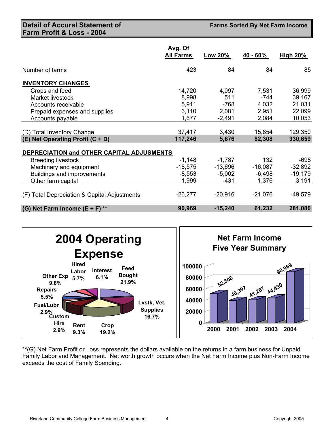**Detail of Accural Statement of Farm Profit & Loss - 2004**

**Farms Sorted By Net Farm Income** 

|                                                                | Avg. Of<br><b>All Farms</b> | <u>Low 20%</u> | 40 - 60%         | <u>High 20%</u>    |
|----------------------------------------------------------------|-----------------------------|----------------|------------------|--------------------|
| Number of farms                                                | 423                         | 84             | 84               | 85                 |
| <b>INVENTORY CHANGES</b>                                       |                             |                |                  |                    |
| Crops and feed                                                 | 14,720                      | 4,097          | 7,531            | 36,999             |
| Market livestock                                               | 8,998                       | 511            | -744             | 39,167             |
| Accounts receivable                                            | 5,911                       | $-768$         | 4,032            | 21,031             |
| Prepaid expenses and supplies                                  | 6,110                       | 2,081          | 2,951            | 22,099             |
| Accounts payable                                               | 1,677                       | $-2,491$       | 2,084            | 10,053             |
| (D) Total Inventory Change<br>(E) Net Operating Profit (C + D) | 37,417<br>117,246           | 3,430<br>5,676 | 15,854<br>82,308 | 129,350<br>330,659 |
| DEPRECIATION and OTHER CAPITAL ADJUSMENTS                      |                             |                |                  |                    |
| <b>Breeding livestock</b>                                      | $-1,148$                    | $-1,787$       | 132              | $-698$             |
| Machinery and equipment                                        | $-18,575$                   | $-13,696$      | $-16,087$        | $-32,892$          |
| <b>Buildings and improvements</b>                              | $-8,553$                    | $-5,002$       | $-6,498$         | $-19,179$          |
| Other farm capital                                             | 1,999                       | $-431$         | 1,376            | 3,191              |
| (F) Total Depreciation & Capital Adjustments                   | $-26,277$                   | $-20,916$      | $-21,076$        | $-49,579$          |
| (G) Net Farm Income $(E + F)$ **                               | 90,969                      | $-15,240$      | 61,232           | 281,080            |



\*\*(G) Net Farm Profit or Loss represents the dollars available on the returns in a farm business for Unpaid Family Labor and Management. Net worth growth occurs when the Net Farm Income plus Non-Farm Income exceeds the cost of Family Spending.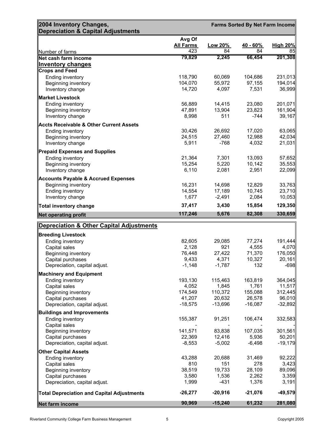| 2004 Inventory Changes,<br><b>Depreciation &amp; Capital Adjustments</b>         | <b>Farms Sorted By Net Farm Income</b> |                  |                  |                    |
|----------------------------------------------------------------------------------|----------------------------------------|------------------|------------------|--------------------|
|                                                                                  | Avg Of<br><b>All Farms</b>             | Low 20%          | 40 - 60%         | <b>High 20%</b>    |
| Number of farms                                                                  | 423                                    | 84               | 84               | 85                 |
| Net cash farm income                                                             | 79,829                                 | 2,245            | 66,454           | 201,308            |
| <b>Inventory changes</b>                                                         |                                        |                  |                  |                    |
| <b>Crops and Feed</b>                                                            |                                        |                  |                  |                    |
| Ending inventory                                                                 | 118,790                                | 60,069           | 104,686          | 231,013            |
| Beginning inventory<br>Inventory change                                          | 104,070<br>14,720                      | 55,972<br>4,097  | 97,155<br>7,531  | 194,014<br>36,999  |
|                                                                                  |                                        |                  |                  |                    |
| <b>Market Livestock</b><br><b>Ending inventory</b>                               | 56,889                                 | 14,415           | 23,080           | 201,071            |
| Beginning inventory                                                              | 47,891                                 | 13,904           | 23,823           | 161,904            |
| Inventory change                                                                 | 8,998                                  | 511              | $-744$           | 39,167             |
| <b>Accts Receivable &amp; Other Current Assets</b>                               |                                        |                  |                  |                    |
| Ending inventory                                                                 | 30,426                                 | 26,692           | 17,020           | 63,065             |
| Beginning inventory                                                              | 24,515                                 | 27,460           | 12,988           | 42,034             |
| Inventory change                                                                 | 5,911                                  | $-768$           | 4,032            | 21,031             |
| <b>Prepaid Expenses and Supplies</b>                                             |                                        |                  |                  |                    |
| Ending inventory                                                                 | 21,364                                 | 7,301            | 13,093           | 57,652             |
| Beginning inventory                                                              | 15,254                                 | 5,220            | 10,142           | 35,553             |
| Inventory change                                                                 | 6,110                                  | 2,081            | 2,951            | 22,099             |
| Accounts Payable & Accrued Expenses                                              |                                        |                  |                  |                    |
| Beginning inventory                                                              | 16,231                                 | 14,698           | 12,829           | 33,763             |
| Ending inventory                                                                 | 14,554<br>1,677                        | 17,189           | 10,745           | 23,710             |
| Inventory change                                                                 |                                        | $-2,491$         | 2,084            | 10,053             |
| <b>Total inventory change</b>                                                    | 37,417<br>117,246                      | 3,430<br>5,676   | 15,854<br>82,308 | 129,350<br>330,659 |
| <b>Net operating profit</b>                                                      |                                        |                  |                  |                    |
| <b>Depreciation &amp; Other Capital Adjustments</b><br><b>Breeding Livestock</b> |                                        |                  |                  |                    |
| Ending inventory                                                                 | 82,605                                 | 29,085           | 77,274           | 191,444            |
| Capital sales                                                                    | 2,128                                  | 921              | 4,555            | 4,070              |
| Beginning inventory                                                              | 76,448                                 | 27,422           | 71,370           | 176,050            |
| Capital purchases                                                                | 9,433                                  | 4,371            | 10,327           | 20,161             |
| Depreciation, capital adjust.                                                    | $-1,148$                               | $-1,787$         | 132              | $-698$             |
| <b>Machinery and Equipment</b>                                                   |                                        |                  |                  |                    |
| Ending inventory                                                                 | 193,130                                | 115,463          | 163,819          | 364,045            |
| Capital sales<br>Beginning inventory                                             | 4,052<br>174,549                       | 1,845<br>110,372 | 1,761<br>155,088 | 11,517<br>312,445  |
| Capital purchases                                                                | 41,207                                 | 20,632           | 26,578           | 96,010             |
| Depreciation, capital adjust.                                                    | $-18,575$                              | $-13,696$        | $-16,087$        | $-32,892$          |
| <b>Buildings and Improvements</b>                                                |                                        |                  |                  |                    |
| Ending inventory                                                                 | 155,387                                | 91,251           | 106,474          | 332,583            |
| Capital sales                                                                    |                                        |                  |                  |                    |
| Beginning inventory                                                              | 141,571                                | 83,838           | 107,035          | 301,561            |
| Capital purchases                                                                | 22,369                                 | 12,416           | 5,936            | 50,201             |
| Depreciation, capital adjust.                                                    | $-8,553$                               | $-5,002$         | $-6,498$         | $-19,179$          |
| <b>Other Capital Assets</b>                                                      |                                        |                  |                  |                    |
| Ending inventory<br>Capital sales                                                | 43,288<br>810                          | 20,688<br>151    | 31,469<br>278    | 92,222<br>3,423    |
| Beginning inventory                                                              | 38,519                                 | 19,733           | 28,109           | 89,096             |
| Capital purchases                                                                | 3,580                                  | 1,536            | 2,262            | 3,359              |
| Depreciation, capital adjust.                                                    | 1,999                                  | $-431$           | 1,376            | 3,191              |
| <b>Total Depreciation and Capital Adjustments</b>                                | $-26,277$                              | $-20,916$        | $-21,076$        | $-49,579$          |
| Net farm income                                                                  | 90,969                                 | $-15,240$        | 61,232           | 281,080            |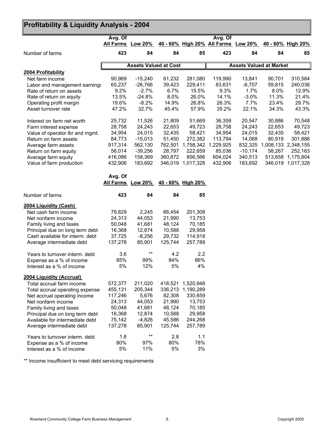## **Profitability & Liquidity Analysis - 2004**

|                                 | Avg. Of |                                     |         |                   | Avg. Of                             |                                |        |                     |
|---------------------------------|---------|-------------------------------------|---------|-------------------|-------------------------------------|--------------------------------|--------|---------------------|
|                                 |         | All Farms Low 20%                   |         |                   | 40 - 60% High 20% All Farms Low 20% |                                |        | 40 - 60% High 20%   |
| Number of farms                 | 423     | 84                                  | 84      | 85                | 423                                 | 84                             | 84     | 85                  |
|                                 |         |                                     |         |                   |                                     |                                |        |                     |
|                                 |         | <b>Assets Valued at Cost</b>        |         |                   |                                     | <b>Assets Valued at Market</b> |        |                     |
| 2004 Profitability              |         |                                     |         |                   |                                     |                                |        |                     |
| Net farm income                 | 90,969  | $-15,240$                           | 61,232  | 281,080           | 119,990                             | 13,841                         | 90,701 | 310,584             |
| Labor and management earnings   | 65,237  | $-26,766$                           | 39,423  | 229,411           | 83,631                              | $-6,707$                       | 59,815 | 240,036             |
| Rate of return on assets        | 9.2%    | $-2.7%$                             | 6.7%    | 15.5%             | 9.3%                                | 1.7%                           | 8.0%   | 12.9%               |
| Rate of return on equity        | 13.5%   | $-24.8%$                            | 8.0%    | 26.0%             | 14.1%                               | $-3.0%$                        | 11.3%  | 21.4%               |
| Operating profit margin         | 19.6%   | $-8.2%$                             | 14.9%   | 26.8%             | 26.3%                               | 7.7%                           | 23.4%  | 29.7%               |
| Asset turnover rate             | 47.2%   | 32.7%                               | 45.4%   | 57.9%             | 35.2%                               | 22.1%                          | 34.3%  | 43.3%               |
| Interest on farm net worth      | 25,732  | 11,526                              | 21,809  | 51,669            | 36,359                              | 20,547                         | 30,886 | 70,548              |
| Farm interest expense           | 28,758  | 24,243                              | 22,653  | 49,723            | 28,758                              | 24,243                         | 22,653 | 49,723              |
| Value of operator lbr and mgmt. | 34,954  | 24,015                              | 32,435  | 58,421            | 34,954                              | 24,015                         | 32,435 | 58,421              |
| Return on farm assets           | 84,773  | $-15,013$                           | 51,450  | 272,382           | 113,794                             | 14,068                         | 80,919 | 301,886             |
| Average farm assets             | 917,314 | 562,130                             | 762,501 |                   | 1,758,342 1,229,925                 | 832,325                        |        | 1,008,133 2,348,155 |
|                                 | 56,014  | $-39,256$                           | 28,797  | 222,659           | 85,036                              | $-10,174$                      | 58,267 | 252,163             |
| Return on farm equity           |         |                                     |         |                   |                                     |                                |        | 513,658 1,175,804   |
| Average farm equity             | 416,086 | 158,369                             | 360,872 | 856,566           | 604,024                             | 340,513                        |        |                     |
| Value of farm production        | 432,906 | 183,692                             |         | 346,019 1,017,328 | 432,906                             | 183,692                        |        | 346,019 1,017,328   |
|                                 | Avg. Of |                                     |         |                   |                                     |                                |        |                     |
|                                 |         | All Farms Low 20% 40 - 60% High 20% |         |                   |                                     |                                |        |                     |
| Number of farms                 | 423     | 84                                  | 84      | 85                |                                     |                                |        |                     |
| 2004 Liquidity (Cash)           |         |                                     |         |                   |                                     |                                |        |                     |
| Net cash farm income            | 79,829  | 2,245                               | 66,454  | 201,308           |                                     |                                |        |                     |
| Net nonfarm income              | 24,313  | 44,053                              | 21,990  | 13,753            |                                     |                                |        |                     |
| Family living and taxes         | 50,048  | 41,681                              | 48,124  | 70,185            |                                     |                                |        |                     |
| Principal due on long term debt | 16,368  | 12,874                              | 10,588  | 29,958            |                                     |                                |        |                     |
| Cash available for interm. debt | 37,725  | $-8,256$                            | 29,732  | 114,918           |                                     |                                |        |                     |
| Average intermediate debt       | 137,278 | 85,901                              | 125,744 | 257,789           |                                     |                                |        |                     |
|                                 |         |                                     |         |                   |                                     |                                |        |                     |
| Years to turnover interm. debt  | 3.6     | $***$                               | 4.2     | 2.2               |                                     |                                |        |                     |
| Expense as a % of income        | 85%     | 99%                                 | 84%     | 86%               |                                     |                                |        |                     |
| Interest as a % of income       | 5%      | 12%                                 | 5%      | 4%                |                                     |                                |        |                     |
| 2004 Liquidity (Accrual)        |         |                                     |         |                   |                                     |                                |        |                     |
| Total accrual farm income       | 572,377 | 211,020                             | 418,521 | 1,520,948         |                                     |                                |        |                     |
| Total accrual operating expense | 455,131 | 205,344                             | 336,213 | 1,190,289         |                                     |                                |        |                     |
| Net accrual operating income    | 117,246 | 5,676                               | 82,308  | 330,659           |                                     |                                |        |                     |
| Net nonfarm income              | 24,313  | 44,053                              | 21,990  | 13,753            |                                     |                                |        |                     |
| Family living and taxes         | 50,048  | 41,681                              | 48,124  | 70,185            |                                     |                                |        |                     |
| Principal due on long term debt | 16,368  | 12,874                              | 10,588  | 29,958            |                                     |                                |        |                     |
| Available for intermediate debt | 75,142  | $-4,826$                            | 45,586  | 244,268           |                                     |                                |        |                     |
| Average intermediate debt       | 137,278 | 85,901                              | 125,744 | 257,789           |                                     |                                |        |                     |
| Years to turnover interm. debt  | 1.8     | $***$                               | 2.8     | 1.1               |                                     |                                |        |                     |
| Expense as a % of income        | 80%     | 97%                                 | 80%     | 78%               |                                     |                                |        |                     |
| Interest as a % of income       | 5%      | 11%                                 | 5%      | 3%                |                                     |                                |        |                     |

\*\* Income insufficient to meet debt servicing requirements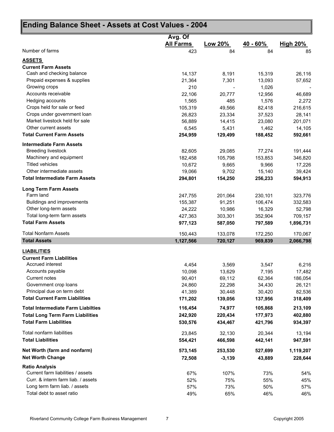| Ending Balance Sheet - Assets at Cost Values - 2004 |                  |          |          |                 |
|-----------------------------------------------------|------------------|----------|----------|-----------------|
|                                                     | Avg. Of          |          |          |                 |
|                                                     | <b>All Farms</b> | Low 20%  | 40 - 60% | <b>High 20%</b> |
| Number of farms                                     | 423              | 84       | 84       | 85              |
| <b>ASSETS</b>                                       |                  |          |          |                 |
| <b>Current Farm Assets</b>                          |                  |          |          |                 |
| Cash and checking balance                           | 14,137           | 8,191    | 15,319   | 26,116          |
| Prepaid expenses & supplies                         | 21,364           | 7,301    | 13,093   | 57,652          |
| Growing crops                                       | 210              |          | 1,026    |                 |
| Accounts receivable                                 | 22,106           | 20.777   | 12,956   | 46,689          |
| Hedging accounts                                    | 1,565            | 485      | 1,576    | 2,272           |
| Crops held for sale or feed                         | 105,319          | 49,566   | 82,418   | 216,615         |
| Crops under government loan                         | 26,823           | 23,334   | 37,523   | 28,141          |
| Market livestock held for sale                      | 56,889           | 14,415   | 23,080   | 201,071         |
| Other current assets                                | 6,545            | 5,431    | 1,462    | 14,105          |
| <b>Total Current Farm Assets</b>                    | 254,959          | 129,499  | 188,452  | 592,661         |
| <b>Intermediate Farm Assets</b>                     |                  |          |          |                 |
| <b>Breeding livestock</b>                           | 82,605           | 29,085   | 77,274   | 191,444         |
| Machinery and equipment                             | 182,458          | 105,798  | 153,853  | 346,820         |
| <b>Titled vehicles</b>                              | 10,672           | 9,665    | 9,966    | 17,226          |
| Other intermediate assets                           | 19,066           | 9,702    | 15,140   | 39,424          |
| <b>Total Intermediate Farm Assets</b>               | 294,801          | 154,250  | 256,233  | 594,913         |
| <b>Long Term Farm Assets</b>                        |                  |          |          |                 |
| Farm land                                           | 247,755          | 201,064  | 230,101  | 323,776         |
| Buildings and improvements                          | 155,387          | 91,251   | 106,474  | 332,583         |
| Other long-term assets                              | 24,222           | 10,986   | 16,329   | 52,798          |
| Total long-term farm assets                         | 427,363          | 303,301  | 352,904  | 709,157         |
| <b>Total Farm Assets</b>                            | 977,123          | 587,050  | 797,589  | 1,896,731       |
| <b>Total Nonfarm Assets</b>                         | 150,443          | 133,078  | 172,250  | 170,067         |
| <b>Total Assets</b>                                 | 1,127,566        | 720,127  | 969,839  | 2,066,798       |
| <b>LIABILITIES</b>                                  |                  |          |          |                 |
| <b>Current Farm Liabilities</b>                     |                  |          |          |                 |
| Accrued interest                                    | 4,454            | 3,569    | 3,547    | 6,216           |
| Accounts payable                                    | 10,098           | 13,629   | 7,195    | 17,482          |
| <b>Current notes</b>                                | 90,401           | 69,112   | 62,364   | 186,054         |
| Government crop loans                               | 24,860           | 22,298   | 34,430   | 26,121          |
| Principal due on term debt                          | 41,389           | 30,448   | 30,420   | 82,536          |
| <b>Total Current Farm Liabilities</b>               | 171,202          | 139,056  | 137,956  | 318,409         |
| <b>Total Intermediate Farm Liabilties</b>           | 116,454          | 74,977   | 105,868  | 213,109         |
| <b>Total Long Term Farm Liabilities</b>             | 242,920          | 220,434  | 177,973  | 402,880         |
| <b>Total Farm Liabilities</b>                       | 530,576          | 434,467  | 421,796  | 934,397         |
| Total nonfarm liabilities                           | 23,845           | 32,130   | 20,344   | 13,194          |
| <b>Total Liabilities</b>                            | 554,421          | 466,598  | 442,141  | 947,591         |
| Net Worth (farm and nonfarm)                        | 573,145          | 253,530  | 527,699  | 1,119,207       |
| <b>Net Worth Change</b>                             | 72,508           | $-3,139$ | 43,889   | 228,644         |
| <b>Ratio Analysis</b>                               |                  |          |          |                 |
| Current farm liabilities / assets                   | 67%              | 107%     | 73%      | 54%             |
| Curr. & interm farm liab. / assets                  | 52%              | 75%      | 55%      | 45%             |
| Long term farm liab. / assets                       | 57%              | 73%      | 50%      | 57%             |
| Total debt to asset ratio                           | 49%              | 65%      | 46%      | 46%             |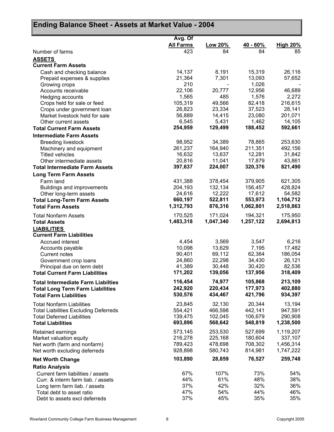| Ending Balance Sheet - Assets at Market Value - 2004                              |                    |                    |                    |                      |  |
|-----------------------------------------------------------------------------------|--------------------|--------------------|--------------------|----------------------|--|
|                                                                                   | Avg. Of            |                    |                    |                      |  |
|                                                                                   | <b>All Farms</b>   | Low 20%            | $40 - 60\%$        | <b>High 20%</b>      |  |
| Number of farms                                                                   | 423                | 84                 | 84                 | 85                   |  |
| <b>ASSETS</b>                                                                     |                    |                    |                    |                      |  |
| <b>Current Farm Assets</b>                                                        |                    |                    |                    |                      |  |
| Cash and checking balance                                                         | 14,137             | 8,191              | 15,319             | 26,116               |  |
| Prepaid expenses & supplies                                                       | 21,364<br>210      | 7,301              | 13,093             | 57,652               |  |
| Growing crops<br>Accounts receivable                                              | 22,106             | 20,777             | 1,026<br>12,956    | 46,689               |  |
| Hedging accounts                                                                  | 1,565              | 485                | 1,576              | 2,272                |  |
| Crops held for sale or feed                                                       | 105,319            | 49,566             | 82,418             | 216,615              |  |
| Crops under government loan                                                       | 26,823             | 23,334             | 37,523             | 28,141               |  |
| Market livestock held for sale                                                    | 56,889             | 14,415             | 23,080             | 201,071              |  |
| Other current assets                                                              | 6,545              | 5,431              | 1,462              | 14,105               |  |
| <b>Total Current Farm Assets</b>                                                  | 254,959            | 129,499            | 188,452            | 592,661              |  |
| <b>Intermediate Farm Assets</b>                                                   |                    |                    |                    |                      |  |
| <b>Breeding livestock</b>                                                         | 98,952             | 34,389             | 78,865             | 253,630              |  |
| Machinery and equipment                                                           | 261,237            | 164,940            | 211,351            | 492,156              |  |
| <b>Titled vehicles</b>                                                            | 16,632             | 13,637             | 12,281             | 31,842               |  |
| Other intermediate assets                                                         | 20,816             | 11,041             | 17,879             | 43,861               |  |
| <b>Total Intermediate Farm Assets</b>                                             | 397,637            | 224,007            | 320,376            | 821,490              |  |
| <b>Long Term Farm Assets</b>                                                      |                    |                    |                    |                      |  |
| Farm land                                                                         | 431,388            | 378,454            | 379,905            | 621,305              |  |
| Buildings and improvements                                                        | 204,193            | 132,134            | 156,457            | 428,824              |  |
| Other long-term assets                                                            | 24,616<br>660,197  | 12,222<br>522,811  | 17,612<br>553,973  | 54,582<br>1,104,712  |  |
| <b>Total Long-Term Farm Assets</b><br><b>Total Farm Assets</b>                    | 1,312,793          | 876,316            | 1,062,801          | 2,518,863            |  |
|                                                                                   |                    |                    |                    |                      |  |
| <b>Total Nonfarm Assets</b>                                                       | 170,525            | 171,024            | 194,321            | 175,950              |  |
| <b>Total Assets</b>                                                               | 1,483,318          | 1,047,340          | 1,257,122          | 2,694,813            |  |
| <b>LIABILITIES</b>                                                                |                    |                    |                    |                      |  |
| <b>Current Farm Liabilities</b>                                                   |                    |                    |                    |                      |  |
| <b>Accrued interest</b>                                                           | 4,454<br>10,098    | 3,569<br>13,629    | 3,547<br>7,195     | 6,216<br>17,482      |  |
| Accounts payable<br>Current notes                                                 | 90,401             | 69,112             | 62,364             | 186,054              |  |
| Government crop loans                                                             | 24,860             | 22,298             | 34,430             | 26,121               |  |
| Principal due on term debt                                                        | 41,389             | 30,448             | 30,420             | 82,536               |  |
| <b>Total Current Farm Liabilities</b>                                             | 171,202            | 139,056            | 137,956            | 318,409              |  |
| <b>Total Intermediate Farm Liabilties</b>                                         | 116,454            | 74,977             | 105,868            | 213,109              |  |
| <b>Total Long Term Farm Liabilities</b>                                           | 242,920            | 220,434            | 177,973            | 402,880              |  |
| <b>Total Farm Liabilities</b>                                                     | 530,576            | 434,467            | 421,796            | 934,397              |  |
|                                                                                   |                    |                    |                    |                      |  |
| <b>Total Nonfarm Liabilities</b>                                                  | 23,845             | 32,130             | 20,344             | 13,194               |  |
| <b>Total Liabilities Excluding Deferreds</b><br><b>Total Deferred Liabilities</b> | 554,421<br>139,475 | 466,598<br>102,045 | 442,141<br>106,679 | 947,591<br>290,908   |  |
| <b>Total Liabilities</b>                                                          | 693,896            | 568,642            | 548,819            | 1,238,500            |  |
|                                                                                   |                    |                    |                    |                      |  |
| Retained earnings                                                                 | 573,145            | 253,530            | 527,699            | 1,119,207            |  |
| Market valuation equity                                                           | 216,278<br>789,423 | 225,168<br>478,698 | 180,604<br>708,302 | 337,107<br>1,456,314 |  |
| Net worth (farm and nonfarm)<br>Net worth excluding deferreds                     | 928,898            | 580,743            | 814,981            | 1,747,222            |  |
|                                                                                   |                    |                    |                    |                      |  |
| <b>Net Worth Change</b>                                                           | 103,890            | 28,859             | 76,527             | 259,748              |  |
| <b>Ratio Analysis</b>                                                             |                    |                    |                    |                      |  |
| Current farm liabilities / assets<br>Curr. & interm farm liab. / assets           | 67%<br>44%         | 107%<br>61%        | 73%<br>48%         | 54%<br>38%           |  |
| Long term farm liab. / assets                                                     | 37%                | 42%                | 32%                | 36%                  |  |
| Total debt to asset ratio                                                         | 47%                | 54%                | 44%                | 46%                  |  |
| Debt to assets excl deferreds                                                     | 37%                | 45%                | 35%                | 35%                  |  |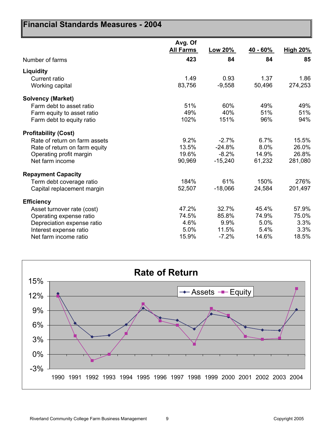| Financial Standards Measures - 2004 |                             |           |          |                 |
|-------------------------------------|-----------------------------|-----------|----------|-----------------|
|                                     | Avg. Of<br><b>All Farms</b> | Low 20%   | 40 - 60% | <b>High 20%</b> |
| Number of farms                     | 423                         | 84        | 84       | 85              |
| Liquidity                           |                             |           |          |                 |
| Current ratio                       | 1.49                        | 0.93      | 1.37     | 1.86            |
| Working capital                     | 83,756                      | $-9,558$  | 50,496   | 274,253         |
| <b>Solvency (Market)</b>            |                             |           |          |                 |
| Farm debt to asset ratio            | 51%                         | 60%       | 49%      | 49%             |
| Farm equity to asset ratio          | 49%                         | 40%       | 51%      | 51%             |
| Farm debt to equity ratio           | 102%                        | 151%      | 96%      | 94%             |
| <b>Profitability (Cost)</b>         |                             |           |          |                 |
| Rate of return on farm assets       | 9.2%                        | $-2.7%$   | 6.7%     | 15.5%           |
| Rate of return on farm equity       | 13.5%                       | $-24.8%$  | 8.0%     | 26.0%           |
| Operating profit margin             | 19.6%                       | $-8.2%$   | 14.9%    | 26.8%           |
| Net farm income                     | 90,969                      | $-15,240$ | 61,232   | 281,080         |
| <b>Repayment Capacity</b>           |                             |           |          |                 |
| Term debt coverage ratio            | 184%                        | 61%       | 150%     | 276%            |
| Capital replacement margin          | 52,507                      | $-18,066$ | 24,584   | 201,497         |
| <b>Efficiency</b>                   |                             |           |          |                 |
| Asset turnover rate (cost)          | 47.2%                       | 32.7%     | 45.4%    | 57.9%           |
| Operating expense ratio             | 74.5%                       | 85.8%     | 74.9%    | 75.0%           |
| Depreciation expense ratio          | 4.6%                        | 9.9%      | 5.0%     | 3.3%            |
| Interest expense ratio              | 5.0%                        | 11.5%     | 5.4%     | 3.3%            |
| Net farm income ratio               | 15.9%                       | $-7.2%$   | 14.6%    | 18.5%           |

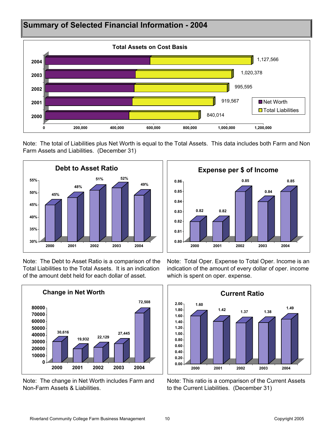

Note: The total of Liabilities plus Net Worth is equal to the Total Assets. This data includes both Farm and Non Farm Assets and Liabilities. (December 31)



Note: The Debt to Asset Ratio is a comparison of the Total Liabilities to the Total Assets. It is an indication of the amount debt held for each dollar of asset.



Note: The change in Net Worth includes Farm and Non-Farm Assets & Liabilities.



Note: Total Oper. Expense to Total Oper. Income is an indication of the amount of every dollar of oper. income which is spent on oper. expense.



Note: This ratio is a comparison of the Current Assets to the Current Liabilities. (December 31)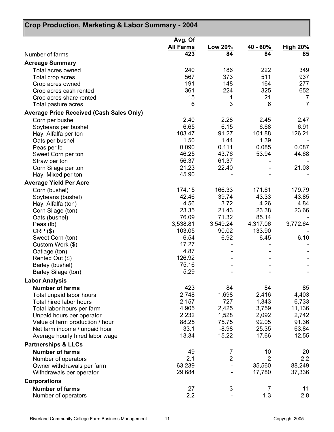| Crop Production, Marketing & Labor Summary - 2004 |                    |                   |                    |                 |  |
|---------------------------------------------------|--------------------|-------------------|--------------------|-----------------|--|
|                                                   | Avg. Of            |                   |                    |                 |  |
|                                                   | <b>All Farms</b>   | Low 20%           | <u>40 - 60%</u>    | <b>High 20%</b> |  |
| Number of farms                                   | 423                | 84                | 84                 | 85              |  |
| <b>Acreage Summary</b>                            |                    |                   |                    |                 |  |
| Total acres owned                                 | 240                | 186               | 222                | 349             |  |
| Total crop acres                                  | 567                | 373               | 511                | 937             |  |
| Crop acres owned                                  | 191                | 148               | 164                | 277             |  |
| Crop acres cash rented                            | 361                | 224               | 325                | 652             |  |
| Crop acres share rented                           | 15                 | 1                 | 21                 | $\overline{7}$  |  |
| Total pasture acres                               | 6                  | 3                 | 6                  | $\overline{7}$  |  |
| <b>Average Price Received (Cash Sales Only)</b>   |                    |                   |                    |                 |  |
| Corn per bushel                                   | 2.40               | 2.28              | 2.45               | 2.47            |  |
| Soybeans per bushel                               | 6.65               | 6.15              | 6.68               | 6.91            |  |
| Hay, Alfalfa per ton                              | 103.47             | 91.27             | 101.88             | 126.21          |  |
| Oats per bushel                                   | 1.50               | 1.44              | 1.39               |                 |  |
| Peas per lb                                       | 0.090              | 0.111             | 0.085              | 0.087           |  |
| Sweet Corn per ton                                | 46.25              | 43.76             | 53.94              | 44.68           |  |
| Straw per ton                                     | 56.37              | 61.37             |                    |                 |  |
| Corn Silage per ton                               | 21.23              | 22.40             |                    | 21.03           |  |
| Hay, Mixed per ton                                | 45.90              |                   |                    |                 |  |
| <b>Average Yield Per Acre</b>                     |                    |                   |                    |                 |  |
| Corn (bushel)                                     | 174.15             | 166.33            | 171.61             | 179.79          |  |
| Soybeans (bushel)                                 | 42.46              | 39.74             | 43.33              | 43.85           |  |
| Hay, Alfalfa (ton)                                | 4.56               | 3.72              | 4.26               | 4.84            |  |
| Corn Silage (ton)                                 | 23.35              | 21.43             | 23.38              | 23.66           |  |
| Oats (bushel)                                     | 76.09              | 71.32             | 85.14              |                 |  |
| Peas (lb)                                         | 3,538.81<br>103.05 | 3,549.24<br>90.02 | 4,317.06<br>133.90 | 3,772.64        |  |
| $CRP($ \$)                                        | 6.54               | 6.92              | 6.45               | 6.10            |  |
| Sweet Corn (ton)<br>Custom Work (\$)              | 17.27              |                   |                    |                 |  |
| Oatlage (ton)                                     | 4.87               |                   |                    |                 |  |
| Rented Out (\$)                                   | 126.92             |                   |                    |                 |  |
| Barley (bushel)                                   | 75.16              |                   |                    |                 |  |
| Barley Silage (ton)                               | 5.29               |                   |                    |                 |  |
| <b>Labor Analysis</b>                             |                    |                   |                    |                 |  |
| <b>Number of farms</b>                            | 423                | 84                | 84                 | 85              |  |
| Total unpaid labor hours                          | 2,748              | 1,698             | 2,416              | 4,403           |  |
| <b>Total hired labor hours</b>                    | 2,157              | 727               | 1,343              | 6,733           |  |
| Total labor hours per farm                        | 4,905              | 2,425             | 3,759              | 11,136          |  |
| Unpaid hours per operator                         | 2,232              | 1,528             | 2,092              | 2,742           |  |
| Value of farm production / hour                   | 88.25              | 75.75             | 92.05              | 91.36           |  |
| Net farm income / unpaid hour                     | 33.1               | $-8.98$           | 25.35              | 63.84           |  |
| Average hourly hired labor wage                   | 13.34              | 15.22             | 17.66              | 12.55           |  |
| <b>Partnerships &amp; LLCs</b>                    |                    |                   |                    |                 |  |
| <b>Number of farms</b>                            | 49                 | 7                 | 10                 | 20              |  |
| Number of operators                               | 2.1                | $\overline{2}$    | $\overline{2}$     | 2.2             |  |
| Owner withdrawals per farm                        | 63,239             |                   | 35,560             | 88,249          |  |
| Withdrawals per operator                          | 29,684             |                   | 17,780             | 37,336          |  |
|                                                   |                    |                   |                    |                 |  |
| <b>Corporations</b>                               |                    |                   |                    |                 |  |
| <b>Number of farms</b>                            | 27                 | 3                 | $\overline{7}$     | 11              |  |
| Number of operators                               | 2.2                |                   | 1.3                | 2.8             |  |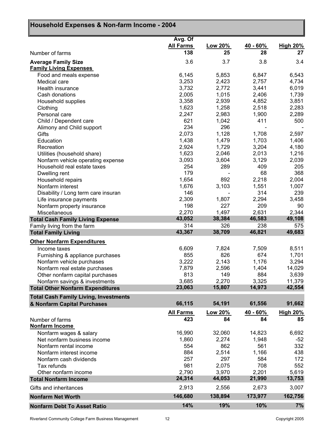| Household Expenses & Non-farm Income - 2004                      |                  |                |                |                 |
|------------------------------------------------------------------|------------------|----------------|----------------|-----------------|
|                                                                  | Avg. Of          |                |                |                 |
|                                                                  | <b>All Farms</b> | Low 20%        | 40 - 60%       | <b>High 20%</b> |
| Number of farms                                                  | 138              | 25             | 28             | 27              |
| <b>Average Family Size</b>                                       | 3.6              | 3.7            | 3.8            | 3.4             |
| <b>Family Living Expenses</b>                                    |                  |                |                |                 |
| Food and meals expense                                           | 6,145            | 5,853          | 6,847          | 6,543           |
| Medical care                                                     | 3,253            | 2,423          | 2,757          | 4,734           |
| Health insurance                                                 | 3,732            | 2,772          | 3,441          | 6,019           |
| Cash donations                                                   | 2,005            | 1,015          | 2,406          | 1,739           |
| Household supplies                                               | 3,358            | 2,939          | 4,852          | 3,851           |
| Clothing                                                         | 1,623            | 1,258          | 2,518          | 2,283           |
| Personal care                                                    | 2,247            | 2,983          | 1,900          | 2,289           |
| Child / Dependent care                                           | 621              | 1,042          | 411            | 500             |
| Alimony and Child support                                        | 234              | 296            |                |                 |
| Gifts                                                            | 2,073            | 1,128          | 1,708          | 2,597           |
| Education                                                        | 1,438<br>2,924   | 1,479<br>1,729 | 1,703<br>3,204 | 1,406<br>4,180  |
| Recreation                                                       | 1,623            | 2,046          | 2,013          | 1,216           |
| Utilities (household share)                                      | 3,093            | 3,604          | 3,129          | 2,039           |
| Nonfarm vehicle operating expense<br>Household real estate taxes | 254              | 289            | 409            | 205             |
| Dwelling rent                                                    | 179              |                | 68             | 368             |
| Household repairs                                                | 1,654            | 892            | 2,218          | 2,004           |
| Nonfarm interest                                                 | 1,676            | 3,103          | 1,551          | 1,007           |
| Disability / Long term care insuran                              | 146              |                | 314            | 239             |
| Life insurance payments                                          | 2,309            | 1,807          | 2,294          | 3,458           |
| Nonfarm property insurance                                       | 198              | 227            | 209            | 90              |
| Miscellaneous                                                    | 2,270            | 1,497          | 2,631          | 2,344           |
| <b>Total Cash Family Living Expense</b>                          | 43,052           | 38,384         | 46,583         | 49,108          |
| Family living from the farm                                      | 314              | 326            | 238            | 575             |
| <b>Total Family Living</b>                                       | 43,367           | 38,709         | 46,821         | 49,683          |
| <b>Other Nonfarm Expenditures</b>                                |                  |                |                |                 |
| Income taxes                                                     | 6,609            | 7,824          | 7,509          | 8,511           |
| Furnishing & appliance purchases                                 | 855              | 826            | 674            | 1,701           |
| Nonfarm vehicle purchases                                        | 3,222            | 2,143          | 1,176          | 3,294           |
| Nonfarm real estate purchases                                    | 7,879            | 2,596          | 1,404          | 14,029          |
| Other nonfarm capital purchases                                  | 813              | 149            | 884            | 3,639           |
| Nonfarm savings & investments                                    | 3,685            | 2,270          | 3,325          | 11,379          |
| <b>Total Other Nonfarm Expenditures</b>                          | 23,063           | 15,807         | 14,973         | 42,554          |
| <b>Total Cash Family Living, Investments</b>                     |                  |                |                |                 |
| & Nonfarm Capital Purchases                                      | 66,115           | 54,191         | 61,556         | 91,662          |
|                                                                  | <b>All Farms</b> | Low 20%        | $40 - 60%$     | <b>High 20%</b> |
| Number of farms                                                  | 423              | 84             | 84             | 85              |
| Nonfarm Income                                                   |                  |                |                |                 |
| Nonfarm wages & salary                                           | 16,990           | 32,060         | 14,823         | 6,692           |
| Net nonfarm business income                                      | 1,860            | 2,274          | 1,948          | $-52$           |
| Nonfarm rental income                                            | 554              | 862            | 561            | 332             |
| Nonfarm interest income                                          | 884              | 2,514          | 1,166          | 438             |
| Nonfarm cash dividends                                           | 257              | 297            | 584            | 172             |
| Tax refunds                                                      | 981              | 2,075          | 708            | 552             |
| Other nonfarm income                                             | 2,790            | 3,970          | 2,201          | 5,619           |
| <b>Total Nonfarm Income</b>                                      | 24,314           | 44,053         | 21,990         | 13,753          |
| Gifts and inheritances                                           | 2,913            | 2,556          | 2,673          | 3,007           |
| <b>Nonfarm Net Worth</b>                                         | 146,680          | 138,894        | 173,977        | 162,756         |
| <b>Nonfarm Debt To Asset Ratio</b>                               | 14%              | 19%            | 10%            | 7%              |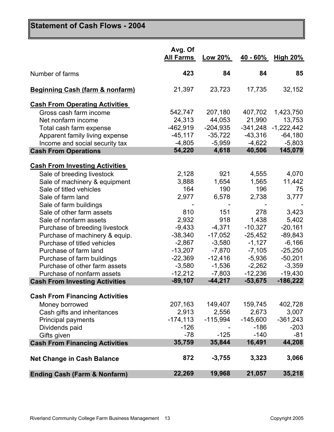## **Statement of Cash Flows - 2004**

|                                                                     | Avg. Of<br><b>All Farms</b> | Low 20%               | 40 - 60%               | High $20\%$             |
|---------------------------------------------------------------------|-----------------------------|-----------------------|------------------------|-------------------------|
| Number of farms                                                     | 423                         | 84                    | 84                     | 85                      |
| <b>Beginning Cash (farm &amp; nonfarm)</b>                          | 21,397                      | 23,723                | 17,735                 | 32,152                  |
| <b>Cash From Operating Activities</b>                               |                             |                       |                        |                         |
| Gross cash farm income                                              | 542,747                     | 207,180               | 407,702                | 1,423,750               |
| Net nonfarm income                                                  | 24,313                      | 44,053                | 21,990                 | 13,753                  |
| Total cash farm expense                                             | $-462,919$                  | $-204,935$            | $-341,248$             | $-1,222,442$            |
| Apparent family living expense                                      | $-45, 117$                  | $-35,722$             | $-43,316$              | $-64,180$               |
| Income and social security tax                                      | $-4,805$                    | $-5,959$              | $-4,622$               | $-5,803$                |
| <b>Cash From Operations</b>                                         | 54,220                      | 4,618                 | 40,506                 | 145,079                 |
| <b>Cash From Investing Activities</b>                               |                             |                       |                        |                         |
| Sale of breeding livestock                                          | 2,128                       | 921                   | 4,555                  | 4,070                   |
| Sale of machinery & equipment                                       | 3,888                       | 1,654                 | 1,565                  | 11,442                  |
| Sale of titled vehicles                                             | 164                         | 190                   | 196                    | 75                      |
| Sale of farm land                                                   | 2,977                       | 6,578                 | 2,738                  | 3,777                   |
| Sale of farm buildings                                              |                             |                       |                        |                         |
| Sale of other farm assets                                           | 810                         | 151                   | 278                    | 3,423                   |
| Sale of nonfarm assets                                              | 2,932                       | 918                   | 1,438                  | 5,402                   |
| Purchase of breeding livestock                                      | $-9,433$                    | $-4,371$              | $-10,327$              | $-20,161$               |
| Purchase of machinery & equip.                                      | $-38,340$                   | $-17,052$             | $-25,452$              | $-89,843$               |
| Purchase of titled vehicles                                         | $-2,867$                    | $-3,580$              | $-1,127$               | $-6,166$                |
| Purchase of farm land                                               | $-13,207$                   | $-7,870$              | $-7,105$               | $-25,250$               |
|                                                                     | $-22,369$                   | $-12,416$             | $-5,936$               | $-50,201$               |
| Purchase of farm buildings                                          | $-3,580$                    |                       |                        | $-3,359$                |
| Purchase of other farm assets                                       |                             | $-1,536$              | $-2,262$               |                         |
| Purchase of nonfarm assets<br><b>Cash From Investing Activities</b> | $-12,212$<br>$-89,107$      | $-7,803$<br>$-44,217$ | $-12,236$<br>$-53,675$ | $-19,430$<br>$-186,222$ |
|                                                                     |                             |                       |                        |                         |
| <b>Cash From Financing Activities</b>                               |                             |                       |                        |                         |
| Money borrowed                                                      | 207,163                     | 149,407               | 159,745                | 402,728                 |
| Cash gifts and inheritances                                         | 2,913                       | 2,556                 | 2,673                  | 3,007                   |
| Principal payments                                                  | $-174, 113$                 | -115,994              | $-145,600$             | $-361,243$              |
| Dividends paid                                                      | $-126$                      |                       | $-186$                 | $-203$                  |
| Gifts given                                                         | $-78$                       | $-125$                | $-140$                 | $-81$                   |
| <b>Cash From Financing Activities</b>                               | 35,759                      | 35,844                | 16,491                 | 44,208                  |
| <b>Net Change in Cash Balance</b>                                   | 872                         | $-3,755$              | 3,323                  | 3,066                   |
| <b>Ending Cash (Farm &amp; Nonfarm)</b>                             | 22,269                      | 19,968                | 21,057                 | 35,218                  |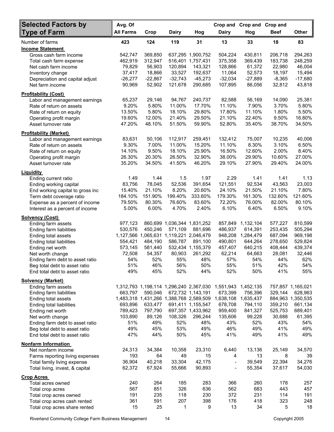| <b>Selected Factors by</b>       | Avg. Of          |           |                                         |                                         | Crop and       | Crop and            | Crop and |                   |
|----------------------------------|------------------|-----------|-----------------------------------------|-----------------------------------------|----------------|---------------------|----------|-------------------|
| <b>Type of Farm</b>              | <b>All Farms</b> | Crop      | <b>Dairy</b>                            | Hog                                     | <b>Dairy</b>   | Hog                 | Beef     | <b>Other</b>      |
| Number of farms                  | 423              | 124       | 119                                     | 31                                      | 13             | 33                  | 18       | 83                |
| <b>Income Statement</b>          |                  |           |                                         |                                         |                |                     |          |                   |
| Gross cash farm income           | 542,747          | 369,850   |                                         | 637,295 1,900,752                       | 504,224        | 430,811             | 206,718  | 294,263           |
| Total cash farm expense          | 462,919          | 312,947   |                                         | 516,401 1,757,431                       | 375,358        | 369,439             | 183,738  | 248,259           |
| Net cash farm income             | 79,829           | 56,903    | 120,894                                 | 143,321                                 | 128,866        | 61,372              | 22,980   | 46,004            |
| Inventory change                 | 37,417           | 18,866    | 33,527                                  | 192,637                                 | 11,064         | 52,573              | 18,197   | 15,494            |
| Depreciation and capital adjust  | $-26,277$        | $-22,867$ | $-32,743$                               | $-45,273$                               | $-32,034$      | -27,889             | $-8,365$ | $-17,680$         |
| Net farm income                  | 90,969           | 52,902    | 121,678                                 | 290,685                                 | 107,895        | 86,056              | 32,812   | 43,818            |
| <b>Profitability (Cost)</b>      |                  |           |                                         |                                         |                |                     |          |                   |
| Labor and management earnings    | 65,237           | 29,146    | 94,767                                  | 240,737                                 | 82,588         | 56,169              | 14,090   | 25,381            |
| Rate of return on assets         | 9.20%            | 5.80%     | 11.00%                                  | 17.70%                                  | 11.10%         | 7.90%               | 3.70%    | 5.80%             |
| Rate of return on equity         | 13.50%           | 5.80%     | 18.10%                                  | 29.80%                                  | 17.80%         | 11.10%              | 1.80%    | 5.50%             |
| Operating profit margin          | 19.60%           | 12.00%    | 21.40%                                  | 29.50%                                  | 21.10%         | 22.40%              | 9.50%    | 16.80%            |
| Asset turnover rate              | 47.20%           | 48.10%    | 51.50%                                  | 59.90%                                  | 52.80%         | 35.40%              | 38.70%   | 34.50%            |
| <b>Profitability (Market)</b>    |                  |           |                                         |                                         |                |                     |          |                   |
| Labor and management earnings    | 83,631           | 50,106    | 112,917                                 | 259,451                                 | 132,412        | 75,007              | 10,235   | 40,006            |
| Rate of return on assets         | 9.30%            | 7.00%     | 11.00%                                  | 15.20%                                  | 11.10%         | 8.30%               | 3.10%    | 6.50%             |
| Rate of return on equity         | 14.10%           | 9.50%     | 18.10%                                  | 25.90%                                  | 16.50%         | 12.60%              | 2.00%    | 8.40%             |
| Operating profit margin          | 26.30%           | 20.30%    | 26.50%                                  | 32.90%                                  | 38.00%         | 29.90%              | 10.60%   | 27.00%            |
| Asset turnover rate              | 35.20%           | 34.50%    | 41.50%                                  | 46.20%                                  | 29.10%         | 27.90%              | 29.40%   | 24.00%            |
| <b>Liquidity</b>                 |                  |           |                                         |                                         |                |                     |          |                   |
| Ending current ratio             | 1.49             | 1.44      | 1.5                                     | 1.97                                    | 2.29           | 1.41                | 1.41     | 1.13              |
| Ending working capital           | 83,756           | 78,045    | 52,536                                  | 391,654                                 | 121,551        | 92,534              | 43,563   | 23,003            |
| End working capital to gross inc | 15.40%           | 21.10%    | 8.20%                                   | 20.60%                                  | 24.10%         | 21.50%              | 21.10%   | 7.80%             |
| Term debt coverage ratio         | 184.10%          | 151.90%   | 199.40%                                 | 333.60%                                 | 179.30%        | 161.30%             | 132.60%  | 121.60%           |
| Expense as a percent of income   | 79.50%           | 80.30%    | 76.60%                                  | 83.60%                                  | 72.20%         | 76.00%              | 82.00%   | 80.10%            |
| Interest as a percent of income  | 5.00%            | 6.00%     | 4.70%                                   | 2.40%                                   | 6.10%          | 6.40%               | 6.50%    | 9.10%             |
| <b>Solvency (Cost)</b>           |                  |           |                                         |                                         |                |                     |          |                   |
| Ending farm assets               | 977,123          | 860,699   |                                         | 1,036,344 1,831,252                     | 857,849        | 1,132,104           | 577,227  | 810,599           |
| Ending farm liabilities          | 530,576          | 450,246   | 571,109                                 | 881,696                                 | 486,937        | 614,391             | 253,435  | 505,294           |
| Ending total assets              |                  |           | 1,127,566 1,065,631 1,119,221 2,046,479 |                                         | 948,208        | 1,284,479           | 687,094  | 969,198           |
| Ending total liabilities         | 554,421          | 484,190   | 586,787                                 | 891,100                                 | 490.801        | 644,264             | 278,650  | 529,824           |
| Ending net worth                 | 573,145          | 581,440   |                                         | 532,434 1,155,379                       | 457,407        | 640,215             | 408,444  | 439,374           |
| Net worth change                 | 72,508           | 54,357    | 80,903                                  | 261,292                                 | 62,214         | 64,663              | 28,081   | 32,446            |
| Ending farm debt to asset ratio  | 54%              | 52%       | 55%                                     | 48%                                     | 57%            | 54%                 | 44%      | 62%               |
| Beg total debt to asset ratio    | 51%              | 46%       | 56%                                     | 50%                                     | 55%            | 51%                 | 42%      | 54%               |
| End total debt to asset ratio    | 49%              | 45%       | 52%                                     | 44%                                     | 52%            | 50%                 | 41%      | 55%               |
| <b>Solvency (Market)</b>         |                  |           |                                         |                                         |                |                     |          |                   |
| Ending farm assets               |                  |           |                                         | 1,312,793 1,198,114 1,296,240 2,367,030 | 1,551,943      | 1,452,135           |          | 757,857 1,165,021 |
| Ending farm liabilities          | 663,797          | 590,046   |                                         | 672,732 1,143,191                       | 673,399        | 756,396             | 329,144  | 628,963           |
| Ending total assets              |                  |           |                                         | 1,483,318 1,431,266 1,388,768 2,589,509 |                | 1,638,108 1,635,437 |          | 884,963 1,350,535 |
| Ending total liabilities         | 693,896          | 633,477   |                                         | 691,411 1,155,547                       | 678,708        | 794,110             | 359,210  | 661,134           |
| Ending net worth                 | 789,423          | 797,790   |                                         | 697,357 1,433,962                       | 959,400        | 841,327             | 525,753  | 689,401           |
| Net worth change                 | 103,890          | 89,126    | 108,326                                 | 296,244                                 | 135,606        | 99,228              | 30,688   | 61,395            |
| Ending farm debt to asset ratio  | 51%              | 49%       | 52%                                     | 48%                                     | 43%            | 52%                 | 43%      | 54%               |
| Beg total debt to asset ratio    | 49%              | 45%       | 53%                                     | 49%                                     | 46%            | 49%                 | 41%      | 49%               |
| End total debt to asset ratio    | 47%              | 44%       | 50%                                     | 45%                                     | 41%            | 49%                 | 41%      | 49%               |
| <b>Nonfarm Information</b>       |                  |           |                                         |                                         |                |                     |          |                   |
| Net nonfarm income               | 24,313           | 34,384    | 10,358                                  | 23,310                                  | 6,440          | 13,136              | 25,149   | 34,570            |
| Farms reporting living expenses  | 193              | 64        | 49                                      | 15                                      | 4              | 13                  | 8        | 39                |
| Total family living expense      | 36,904           | 40,218    | 33,304                                  | 42,175                                  | $\blacksquare$ | 39,549              | 22,394   | 34,276            |
| Total living, invest, & capital  | 62,372           | 67,924    | 55,666                                  | 90,893                                  | $\frac{1}{2}$  | 55,354              | 37,617   | 54,030            |
| <b>Crop Acres</b>                |                  |           |                                         |                                         |                |                     |          |                   |
| Total acres owned                | 240              | 264       | 185                                     | 283                                     | 366            | 260                 | 178      | 257               |
| Total crop acres                 | 567              | 851       | 326                                     | 636                                     | 562            | 683                 | 443      | 457               |
| Total crop acres owned           | 191              | 235       | 118                                     | 230                                     | 372            | 231                 | 114      | 191               |
| Total crop acres cash rented     | 361              | 591       | 207                                     | 398                                     | 176            | 418                 | 323      | 248               |
| Total crop acres share rented    | 15               | 25        | 1                                       | 9                                       | 13             | 34                  | 5        | 18                |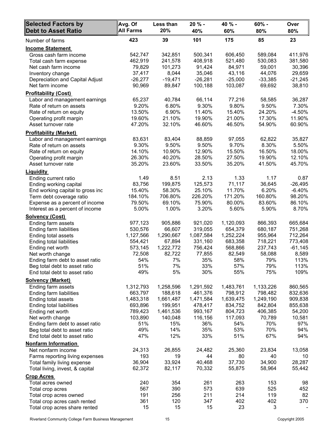| <b>Selected Factors by</b><br><b>Debt to Asset Ratio</b>       | Avg. Of<br><b>All Farms</b> | Less than<br>20% | 20 % -<br>40% | 40 % -<br>60% | 60% -<br>80%  | Over<br>80%  |
|----------------------------------------------------------------|-----------------------------|------------------|---------------|---------------|---------------|--------------|
| Number of farms                                                | 423                         | 39               | 101           | 175           | 85            | 23           |
| <b>Income Statement</b>                                        |                             |                  |               |               |               |              |
| Gross cash farm income                                         | 542,747                     | 342,851          | 500,341       | 606,450       | 589,084       | 411,976      |
| Total cash farm expense                                        | 462,919                     | 241,578          | 408,918       | 521,480       | 530,083       | 381,580      |
| Net cash farm income                                           | 79,829                      | 101,273          | 91,424        | 84,971        | 59,001        | 30,396       |
| Inventory change                                               | 37,417                      | 8,044            | 35,046        | 43,116        | 44,076        | 29,659       |
| Depreciation and Capital Adjust                                | $-26,277$                   | $-19,471$        | $-26,281$     | $-25,000$     | $-33,385$     | $-21,245$    |
| Net farm income                                                | 90,969                      | 89,847           | 100,188       | 103,087       | 69,692        | 38,810       |
| <b>Profitability (Cost)</b>                                    |                             |                  |               |               |               |              |
| Labor and management earnings                                  | 65,237                      | 40,784           | 66,114        | 77,216        | 58,585        | 36,287       |
| Rate of return on assets                                       | 9.20%                       | 6.80%            | 9.30%         | 9.80%         | 9.50%         | 7.30%        |
| Rate of return on equity                                       | 13.50%                      | 6.90%            | 11.40%        | 15.40%        | 24.20%        | $-4.50%$     |
| Operating profit margin                                        | 19.60%                      | 21.10%           | 19.90%        | 21.00%        | 17.30%        | 11.90%       |
| Asset turnover rate                                            | 47.20%                      | 32.10%           | 46.60%        | 46.50%        | 54.90%        | 60.90%       |
| <b>Profitability (Market)</b>                                  |                             |                  |               |               |               |              |
| Labor and management earnings                                  | 83,631                      | 83,404           | 88,859        | 97,055        | 62,822        | 35,827       |
| Rate of return on assets                                       | 9.30%                       | 9.50%            | 9.50%         | 9.70%         | 8.30%         | 5.50%        |
| Rate of return on equity                                       | 14.10%                      | 10.90%           | 12.90%        | 15.50%        | 16.50%        | 18.00%       |
| Operating profit margin                                        | 26.30%                      | 40.20%           | 28.50%        | 27.50%        | 19.90%        | 12.10%       |
| Asset turnover rate                                            | 35.20%                      | 23.60%           | 33.50%        | 35.20%        | 41.50%        | 45.70%       |
| <b>Liquidity</b>                                               |                             |                  |               |               |               |              |
| Ending current ratio                                           | 1.49                        | 8.51             | 2.13          | 1.33          | 1.17          | 0.87         |
| Ending working capital                                         | 83,756                      | 199,875          | 125,573       | 71,117        | 36,645        | $-26,495$    |
| End working capital to gross inc                               | 15.40%                      | 58.30%           | 25.10%        | 11.70%        | 6.20%         | $-6.40%$     |
| Term debt coverage ratio                                       | 184.10%                     | 706.80%          | 226.20%       | 171.20%       | 160.80%       | 98.20%       |
| Expense as a percent of income                                 | 79.50%                      | 69.10%           | 75.90%        | 80.00%        | 83.60%        | 86.10%       |
| Interest as a percent of income                                | 5.00%                       | 1.00%            | 3.20%         | 5.60%         | 5.90%         | 8.70%        |
| <b>Solvency (Cost)</b>                                         |                             |                  |               |               |               |              |
| Ending farm assets                                             | 977,123                     | 905,886          | 921,020       | 1,120,093     | 866,393       | 665,684      |
| Ending farm liabilities                                        | 530,576                     | 66,607           | 319,055       | 654,379       | 680,187       | 751,268      |
| Ending total assets                                            | 1,127,566                   | 1,290,667        | 1,087,584     | 1,252,224     | 955,964       | 712,264      |
| Ending total liabilities                                       | 554,421                     | 67,894           | 331,160       | 683,358       | 718,221       | 773,408      |
| Ending net worth                                               | 573,145                     | 1,222,772        | 756,424       | 568,866       | 237,743       | $-61,145$    |
| Net worth change                                               | 72,508                      | 82,722           | 77,855<br>35% | 82,549        | 58,088<br>79% | 8,589        |
| Ending farm debt to asset ratio                                | 54%<br>51%                  | 7%<br>7%         | 33%           | 58%<br>57%    | 79%           | 113%<br>113% |
| Beg total debt to asset ratio<br>End total debt to asset ratio | 49%                         | 5%               | 30%           | 55%           | 75%           | 109%         |
| <b>Solvency (Market)</b>                                       |                             |                  |               |               |               |              |
| Ending farm assets                                             | 1,312,793                   | 1,258,596        | 1,291,592     | 1,483,761     | 1,133,226     | 860,565      |
| <b>Ending farm liabilities</b>                                 | 663,797                     | 188,618          | 461,376       | 798,912       | 798,482       | 832,636      |
| Ending total assets                                            | 1,483,318                   | 1,661,487        | 1,471,584     | 1,639,475     | 1,249,190     | 909,838      |
| Ending total liabilities                                       | 693,896                     | 199,951          | 478,417       | 834,752       | 842,804       | 855,638      |
| Ending net worth                                               | 789,423                     | 1,461,536        | 993,167       | 804,723       | 406,385       | 54,200       |
| Net worth change                                               | 103,890                     | 140,048          | 116,156       | 117,093       | 70,789        | 10,581       |
| Ending farm debt to asset ratio                                | 51%                         | 15%              | 36%           | 54%           | 70%           | 97%          |
| Beg total debt to asset ratio                                  | 49%                         | 14%              | 35%           | 53%           | 70%           | 94%          |
| End total debt to asset ratio                                  | 47%                         | 12%              | 33%           | 51%           | 67%           | 94%          |
| <b>Nonfarm Information</b>                                     |                             |                  |               |               |               |              |
| Net nonfarm income                                             | 24,313                      | 26,855           | 24,482        | 25,360        | 23,834        | 13,058       |
| Farms reporting living expenses                                | 193                         | 19               | 44            | 80            | 40            | 10           |
| Total family living expense                                    | 36,904                      | 33,924           | 40,468        | 37,730        | 34,900        | 28,287       |
| Total living, invest, & capital                                | 62,372                      | 82,117           | 70,332        | 55,875        | 58,964        | 55,442       |
| <b>Crop Acres</b>                                              |                             |                  |               |               |               |              |
| Total acres owned                                              | 240                         | 354              | 261           | 263           | 153           | 98           |
| Total crop acres                                               | 567                         | 390              | 573           | 639           | 525           | 452          |
| Total crop acres owned                                         | 191                         | 256              | 211           | 214           | 119           | 82           |
| Total crop acres cash rented                                   | 361                         | 120              | 347           | 402           | 402           | 370          |
| Total crop acres share rented                                  | 15                          | 15               | 15            | 23            | 3             |              |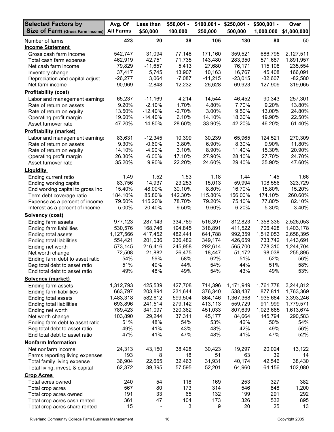| <b>Selected Factors by</b>                                 | Avg. Of              | Less than          | $$50,001 -$        | $$100,001 -$       | $$250,001 -$       | $$500,001 -$         | Over                   |
|------------------------------------------------------------|----------------------|--------------------|--------------------|--------------------|--------------------|----------------------|------------------------|
| Size of Farm (Gross Farm Income) All Farms                 |                      | \$50,000           | 100,000            | 250,000            | 500,000            | 1,000,000            | \$1,000,000            |
| Number of farms<br><b>Income Statement</b>                 | 423                  | 20                 | 38                 | 105                | 130                | 80                   | 50                     |
| Gross cash farm income                                     | 542,747              | 31,094             | 77,148             | 171,160            | 359,521            | 686,795              | 2,127,511              |
| Total cash farm expense                                    | 462,919              | 42,751             | 71,735             | 143,480            | 283,350            | 571,687              | 1,891,957              |
| Net cash farm income                                       | 79,829               | $-11,657$          | 5,413              | 27,680             | 76,171             | 115,108              | 235,554                |
| Inventory change                                           | 37,417               | 5,745              | 13,907             | 10,163             | 16,767             | 45,408               | 166,091                |
| Depreciation and capital adjust                            | $-26,277$            | 3,064              | $-7,087$           | $-11,215$          | $-23,015$          | $-32,607$            | $-82,580$              |
| Net farm income                                            | 90,969               | $-2,848$           | 12,232             | 26,628             | 69,923             | 127,909              | 319,065                |
| <b>Profitability (cost)</b>                                |                      |                    |                    |                    |                    |                      |                        |
| Labor and management earnings                              | 65,237               | $-11,169$          | 4,214              | 14,544             | 46,452             | 90,343               | 257,301                |
| Rate of return on assets                                   | 9.20%                | $-2.10%$           | 1.70%              | 4.80%              | 7.70%              | 9.20%                | 13.80%                 |
| Rate of return on equity                                   | 13.50%               | $-12.40%$          | $-2.70%$           | 3.00%              | 9.50%              | 13.00%               | 24.80%                 |
| Operating profit margin                                    | 19.60%               | $-14.40%$          | 6.10%              | 14.10%             | 18.30%             | 19.90%               | 22.50%                 |
| Asset turnover rate                                        | 47.20%               | 14.80%             | 28.60%             | 33.90%             | 42.20%             | 46.20%               | 61.40%                 |
| <b>Profitability (market)</b>                              |                      |                    |                    |                    |                    |                      |                        |
| Labor and management earnings                              | 83,631               | $-12,345$          | 10,399             | 30,239             | 65,965             | 124,521              | 270,309                |
| Rate of return on assets                                   | 9.30%                | $-0.60%$           | 3.80%              | 6.90%              | 8.30%              | 9.90%                | 11.80%                 |
| Rate of return on equity                                   | 14.10%               | $-4.90%$           | 3.10%              | 8.90%              | 11.40%             | 15.30%               | 20.90%                 |
| Operating profit margin<br>Asset turnover rate             | 26.30%<br>35.20%     | $-6.00%$<br>9.90%  | 17.10%<br>22.20%   | 27.90%<br>24.60%   | 28.10%<br>29.40%   | 27.70%<br>35.90%     | 24.70%<br>47.60%       |
|                                                            |                      |                    |                    |                    |                    |                      |                        |
| <b>Liquidity</b>                                           |                      |                    |                    | 1.18               |                    |                      |                        |
| Ending current ratio                                       | 1.49<br>83,756       | 1.52<br>14,937     | 1.53<br>23,253     | 15,013             | 1.44<br>59,994     | 1.45<br>108,556      | 1.66<br>323,729        |
| Ending working capital<br>End working capital to gross inc | 15.40%               | 48.00%             | 30.10%             | 8.80%              | 16.70%             | 15.80%               | 15.20%                 |
| Term debt coverage ratio                                   | 184.10%              | 85.80%             | 142.30%            | 115.80%            | 156.00%            | 174.10%              | 260.60%                |
| Expense as a percent of income                             | 79.50%               | 115.20%            | 78.70%             | 79.20%             | 75.10%             | 77.80%               | 82.10%                 |
| Interest as a percent of income                            | 5.00%                | 20.40%             | 9.50%              | 9.60%              | 6.20%              | 5.30%                | 3.40%                  |
| <b>Solvency (cost)</b>                                     |                      |                    |                    |                    |                    |                      |                        |
| Ending farm assets                                         | 977,123              | 287,143            | 334,789            | 516,397            | 812,823            | 1,358,336            | 2,526,053              |
| Ending farm liabilities                                    | 530,576              | 168,746            | 194,845            | 318,891            | 411,522            | 706,428              | 1,403,178              |
| Ending total assets                                        | 1,127,566            | 417,452            | 482,441            | 641,788            | 992,359            | 1,512,053            | 2,658,395              |
| Ending total liabilities                                   | 554,421              | 201,036            | 236,482            | 349,174            | 426,659            | 733,742              | 1,413,691              |
| Ending net worth                                           | 573,145              | 216,416            | 245,958            | 292,614            | 565,700            | 778,310              | 1,244,704              |
| Net worth change                                           | 72,508               | 21,882             | 26,475             | 18,447             | 51,172             | 98,038               | 255,895                |
| Ending farm debt to asset ratio                            | 54%                  | 59%                | 58%                | 62%                | 51%                | 52%                  | 56%                    |
| Beg total debt to asset ratio                              | 51%                  | 49%                | 44%                | 54%                | 44%                | 51%                  | 58%                    |
| End total debt to asset ratio                              | 49%                  | 48%                | 49%                | 54%                | 43%                | 49%                  | 53%                    |
| <b>Solvency (market)</b>                                   |                      |                    |                    |                    |                    |                      |                        |
| Ending farm assets                                         | 1,312,793            | 425,539            | 427,708            | 714,396            | 1,171,949          | 1,761,778            | 3,244,812              |
| Ending farm liabilities                                    | 663,797              | 203,894            | 231,644            | 376,340            | 538,437            | 877,811              | 1,763,369              |
| Ending total assets                                        | 1,483,318<br>693,896 | 582,612<br>241,514 | 599,504<br>279,142 | 864,146<br>413,113 | 1,367,368          | 1,935,684<br>911,999 | 3,393,246              |
| Ending total liabilities<br>Ending net worth               | 789,423              | 341,097            | 320,362            | 451,033            | 559,729<br>807,639 | 1,023,685            | 1,779,571<br>1,613,674 |
| Net worth change                                           | 103,890              | 29,244             | 37,311             | 45,177             | 84,664             | 145,794              | 290,583                |
| Ending farm debt to asset ratio                            | 51%                  | 48%                | 54%                | 53%                | 46%                | 50%                  | 54%                    |
| Beg total debt to asset ratio                              | 49%                  | 41%                | 43%                | 48%                | 42%                | 49%                  | 56%                    |
| End total debt to asset ratio                              | 47%                  | 41%                | 47%                | 48%                | 41%                | 47%                  | 52%                    |
| <b>Nonfarm Information</b>                                 |                      |                    |                    |                    |                    |                      |                        |
| Net nonfarm income                                         | 24,313               | 43,150             | 38,428             | 30,423             | 19,297             | 20,024               | 13,122                 |
| Farms reporting living expenses                            | 193                  | 8                  | 18                 | 51                 | 63                 | 39                   | 14                     |
| Total family living expense                                | 36,904               | 22,665             | 32,463             | 31,931             | 40,174             | 42,546               | 38,430                 |
| Total living, invest, & capital                            | 62,372               | 39,395             | 57,595             | 52,201             | 64,960             | 64,156               | 102,080                |
| <b>Crop Acres</b>                                          |                      |                    |                    |                    |                    |                      |                        |
| Total acres owned                                          | 240                  | 54                 | 118                | 169                | 253                | 327                  | 382                    |
| Total crop acres                                           | 567                  | 80                 | 173                | 314                | 546                | 848                  | 1,200                  |
| Total crop acres owned                                     | 191                  | 33                 | 65                 | 132                | 199                | 291                  | 292                    |
| Total crop acres cash rented                               | 361                  | 47                 | 104                | 173                | 326                | 532                  | 895                    |
| Total crop acres share rented                              | 15                   |                    | 3                  | 9                  | 20                 | 25                   | 13                     |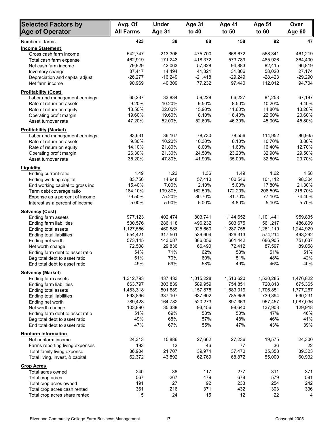| <b>Selected Factors by</b>                          | Avg. Of           | <b>Under</b>      | Age 31            | Age 41            | Age 51            | Over              |
|-----------------------------------------------------|-------------------|-------------------|-------------------|-------------------|-------------------|-------------------|
| <b>Age of Operator</b>                              | <b>All Farms</b>  | Age 31            | to 40             | to 50             | to 60             | Age 60            |
| Number of farms                                     | 423               | 38                | 88                | 158               | 92                | 47                |
| <b>Income Statement</b>                             |                   |                   |                   |                   |                   |                   |
| Gross cash farm income                              | 542,747           | 213,306           | 475,700           | 668,672           | 568,341           | 461,219           |
| Total cash farm expense                             | 462,919           | 171,243           | 418,372           | 573,789           | 485,926           | 364,400           |
| Net cash farm income                                | 79,829            | 42,063            | 57,328            | 94,883            | 82,415            | 96,819            |
| Inventory change                                    | 37,417            | 14,494            | 41,321            | 31,806            | 58,020            | 27,174            |
| Depreciation and capital adjust                     | $-26,277$         | $-16,249$         | $-21,418$         | $-29,249$         | $-28,423$         | $-29,290$         |
| Net farm income                                     | 90,969            | 40,309            | 77,232            | 97,440            | 112,012           | 94,704            |
| <b>Profitability (Cost)</b>                         |                   |                   |                   |                   |                   |                   |
| Labor and management earnings                       | 65,237            | 33,834            | 59,228            | 66,227            | 81,258            | 67,187            |
| Rate of return on assets                            | 9.20%<br>13.50%   | 10.20%<br>22.00%  | 9.50%<br>15.90%   | 8.50%<br>11.60%   | 10.20%<br>14.80%  | 9.40%<br>13.20%   |
| Rate of return on equity                            | 19.60%            | 19.60%            | 18.10%            | 18.40%            | 22.60%            | 20.60%            |
| Operating profit margin<br>Asset turnover rate      | 47.20%            | 52.00%            | 52.60%            | 46.30%            | 45.00%            | 45.80%            |
| <b>Profitability (Market)</b>                       |                   |                   |                   |                   |                   |                   |
| Labor and management earnings                       | 83,631            | 36,167            | 78,730            | 78,556            | 114,952           | 86,935            |
| Rate of return on assets                            | 9.30%             | 10.20%            | 10.30%            | 8.10%             | 10.70%            | 8.80%             |
| Rate of return on equity                            | 14.10%            | 21.80%            | 18.00%            | 11.60%            | 16.40%            | 12.70%            |
| Operating profit margin                             | 26.30%            | 21.30%            | 24.50%            | 23.20%            | 32.90%            | 29.50%            |
| Asset turnover rate                                 | 35.20%            | 47.80%            | 41.90%            | 35.00%            | 32.60%            | 29.70%            |
| Liquidity                                           |                   |                   |                   |                   |                   |                   |
| Ending current ratio                                | 1.49              | 1.22              | 1.36              | 1.49              | 1.62              | 1.58              |
| Ending working capital                              | 83,756            | 14,948            | 57,410            | 100,546           | 101,112           | 98,304            |
| End working capital to gross inc                    | 15.40%            | 7.00%             | 12.10%            | 15.00%            | 17.80%            | 21.30%            |
| Term debt coverage ratio                            | 184.10%           | 199.80%           | 162.50%           | 172.20%           | 208.50%           | 216.70%           |
| Expense as a percent of income                      | 79.50%            | 75.20%            | 80.70%            | 81.70%            | 77.10%            | 74.40%            |
| Interest as a percent of income                     | 5.00%             | 5.90%             | 5.00%             | 4.80%             | 5.10%             | 5.70%             |
| <b>Solvency (Cost)</b>                              |                   |                   |                   |                   |                   |                   |
| Ending farm assets                                  | 977,123           | 402,474           | 803,741           | 1,144,652         | 1,101,441         | 959,835           |
| Ending farm liabilities                             | 530,576           | 286,118           | 496,232           | 603,675           | 561,217           | 486,809           |
| Ending total assets                                 | 1,127,566         | 460,588           | 925,660           | 1,287,755         | 1,261,119         | 1,244,929         |
| Ending total liabilities                            | 554,421           | 317,501           | 539,604           | 626,313           | 574,214           | 493,292           |
| Ending net worth                                    | 573,145<br>72,508 | 143,087<br>29,836 | 386,056<br>66,490 | 661,442<br>72,412 | 686,905<br>87,597 | 751,637<br>89,058 |
| Net worth change<br>Ending farm debt to asset ratio | 54%               | 71%               | 62%               | 53%               | 51%               | 51%               |
| Beg total debt to asset ratio                       | 51%               | 70%               | 60%               | 51%               | 48%               | 42%               |
| End total debt to asset ratio                       | 49%               | 69%               | 58%               | 49%               | 46%               | 40%               |
| <b>Solvency (Market)</b>                            |                   |                   |                   |                   |                   |                   |
| Ending farm assets                                  | 1,312,793         | 437,433           | 1,015,228         | 1,513,620         | 1,530,285         | 1,476,822         |
| Ending farm liabilities                             | 663,797           | 303,839           | 589,959           | 754,851           | 720,818           | 675,365           |
| Ending total assets                                 | 1,483,318         | 501,889           | 1,157,875         | 1,683,019         | 1,706,851         | 1,777,267         |
| Ending total liabilities                            | 693,896           | 337,107           | 637,602           | 785,656           | 739,394           | 690,231           |
| Ending net worth                                    | 789,423           | 164,782           | 520,273           | 897,363           | 967,457           | 1,087,036         |
| Net worth change                                    | 103,890           | 35,338            | 93,456            | 98,640            | 137,903           | 129,918           |
| Ending farm debt to asset ratio                     | 51%               | 69%               | 58%               | 50%               | 47%               | 46%               |
| Beg total debt to asset ratio                       | 49%               | 68%               | 57%               | 48%               | 46%               | 41%               |
| End total debt to asset ratio                       | 47%               | 67%               | 55%               | 47%               | 43%               | 39%               |
| <b>Nonfarm Information</b>                          |                   |                   |                   |                   |                   |                   |
| Net nonfarm income                                  | 24,313            | 15,886            | 27,662            | 27,236            | 19,575            | 24,300            |
| Farms reporting living expenses                     | 193               | 12                | 46                | 77                | 36                | 22                |
| Total family living expense                         | 36,904            | 21,707            | 39,974            | 37,470            | 35,358            | 39,323            |
| Total living, invest, & capital                     | 62,372            | 43,892            | 62,769            | 68,872            | 55,000            | 60,932            |
| <b>Crop Acres</b><br>Total acres owned              | 240               | 36                | 117               | 277               | 311               | 371               |
| Total crop acres                                    | 567               | 267               | 479               | 678               | 579               | 581               |
| Total crop acres owned                              | 191               | 27                | 92                | 233               | 254               | 242               |
| Total crop acres cash rented                        | 361               | 216               | 371               | 432               | 303               | 336               |
| Total crop acres share rented                       | 15                | 24                | 15                | 12                | 22                | 4                 |